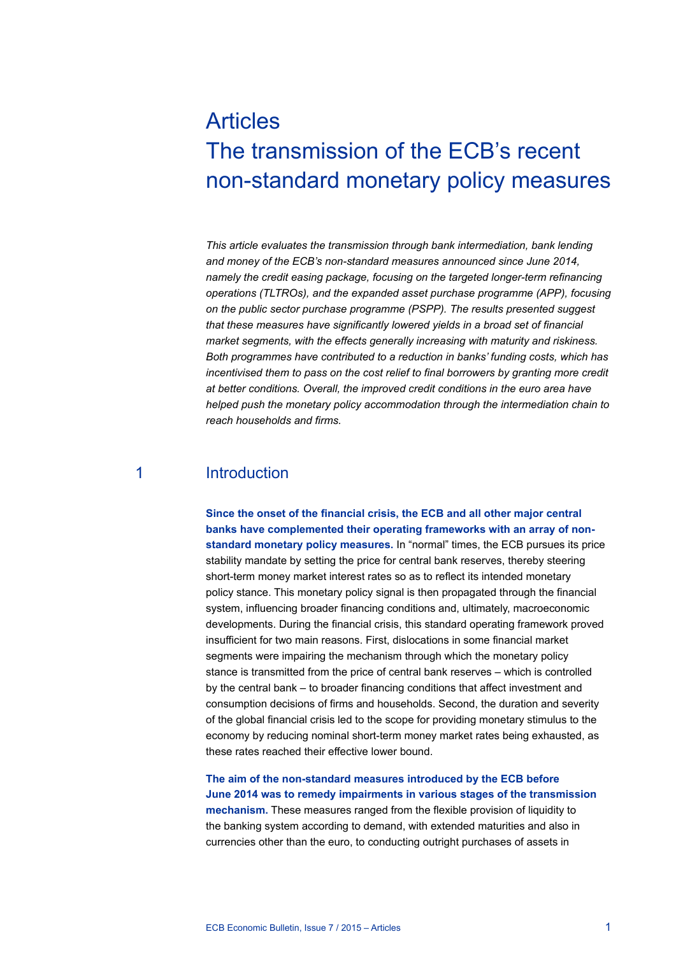# Articles The transmission of the ECB's recent non-standard monetary policy measures

*This article evaluates the transmission through bank intermediation, bank lending and money of the ECB's non-standard measures announced since June 2014, namely the credit easing package, focusing on the targeted longer-term refinancing operations (TLTROs), and the expanded asset purchase programme (APP), focusing on the public sector purchase programme (PSPP). The results presented suggest that these measures have significantly lowered yields in a broad set of financial market segments, with the effects generally increasing with maturity and riskiness. Both programmes have contributed to a reduction in banks' funding costs, which has incentivised them to pass on the cost relief to final borrowers by granting more credit at better conditions. Overall, the improved credit conditions in the euro area have helped push the monetary policy accommodation through the intermediation chain to reach households and firms.*

## 1 Introduction

**Since the onset of the financial crisis, the ECB and all other major central banks have complemented their operating frameworks with an array of nonstandard monetary policy measures.** In "normal" times, the ECB pursues its price stability mandate by setting the price for central bank reserves, thereby steering short-term money market interest rates so as to reflect its intended monetary policy stance. This monetary policy signal is then propagated through the financial system, influencing broader financing conditions and, ultimately, macroeconomic developments. During the financial crisis, this standard operating framework proved insufficient for two main reasons. First, dislocations in some financial market segments were impairing the mechanism through which the monetary policy stance is transmitted from the price of central bank reserves – which is controlled by the central bank – to broader financing conditions that affect investment and consumption decisions of firms and households. Second, the duration and severity of the global financial crisis led to the scope for providing monetary stimulus to the economy by reducing nominal short-term money market rates being exhausted, as these rates reached their effective lower bound.

**The aim of the non-standard measures introduced by the ECB before June 2014 was to remedy impairments in various stages of the transmission mechanism.** These measures ranged from the flexible provision of liquidity to the banking system according to demand, with extended maturities and also in currencies other than the euro, to conducting outright purchases of assets in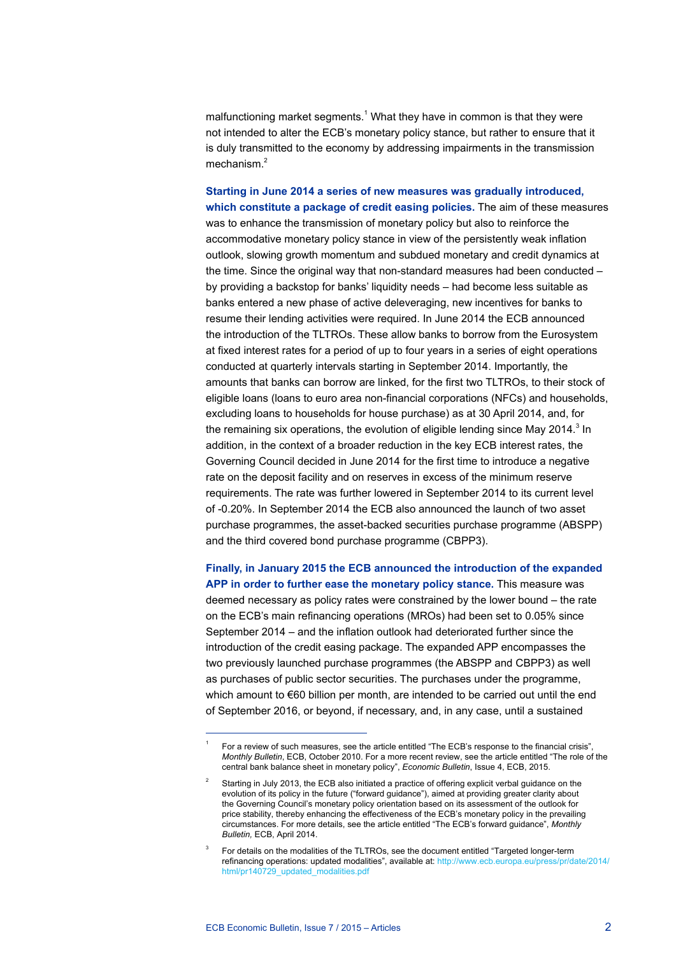malfunctioning market segments.<sup>1</sup> What they have in common is that they were not intended to alter the ECB's monetary policy stance, but rather to ensure that it is duly transmitted to the economy by addressing impairments in the transmission mechanism.<sup>2</sup>

**Starting in June 2014 a series of new measures was gradually introduced, which constitute a package of credit easing policies.** The aim of these measures was to enhance the transmission of monetary policy but also to reinforce the accommodative monetary policy stance in view of the persistently weak inflation outlook, slowing growth momentum and subdued monetary and credit dynamics at the time. Since the original way that non-standard measures had been conducted – by providing a backstop for banks' liquidity needs – had become less suitable as banks entered a new phase of active deleveraging, new incentives for banks to resume their lending activities were required. In June 2014 the ECB announced the introduction of the TLTROs. These allow banks to borrow from the Eurosystem at fixed interest rates for a period of up to four years in a series of eight operations conducted at quarterly intervals starting in September 2014. Importantly, the amounts that banks can borrow are linked, for the first two TLTROs, to their stock of eligible loans (loans to euro area non-financial corporations (NFCs) and households, excluding loans to households for house purchase) as at 30 April 2014, and, for the remaining six operations, the evolution of eligible lending since May 2014. $^3$  In addition, in the context of a broader reduction in the key ECB interest rates, the Governing Council decided in June 2014 for the first time to introduce a negative rate on the deposit facility and on reserves in excess of the minimum reserve requirements. The rate was further lowered in September 2014 to its current level of -0.20%. In September 2014 the ECB also announced the launch of two asset purchase programmes, the asset-backed securities purchase programme (ABSPP) and the third covered bond purchase programme (CBPP3).

**Finally, in January 2015 the ECB announced the introduction of the expanded APP in order to further ease the monetary policy stance.** This measure was deemed necessary as policy rates were constrained by the lower bound – the rate on the ECB's main refinancing operations (MROs) had been set to 0.05% since September 2014 – and the inflation outlook had deteriorated further since the introduction of the credit easing package. The expanded APP encompasses the two previously launched purchase programmes (the ABSPP and CBPP3) as well as purchases of public sector securities. The purchases under the programme, which amount to €60 billion per month, are intended to be carried out until the end of September 2016, or beyond, if necessary, and, in any case, until a sustained

<sup>1</sup> For a review of such measures, see the article entitled "The ECB's response to the financial crisis", *Monthly Bulletin*, ECB, October 2010. For a more recent review, see the article entitled "The role of the central bank balance sheet in monetary policy", *Economic Bulletin*, Issue 4, ECB, 2015.

<sup>2</sup> Starting in July 2013, the ECB also initiated a practice of offering explicit verbal guidance on the evolution of its policy in the future ("forward guidance"), aimed at providing greater clarity about the Governing Council's monetary policy orientation based on its assessment of the outlook for price stability, thereby enhancing the effectiveness of the ECB's monetary policy in the prevailing circumstances. For more details, see the article entitled "The ECB's forward guidance", *Monthly Bulletin,* ECB, April 2014.

<sup>3</sup> For details on the modalities of the TLTROs, see the document entitled "Targeted longer-term refinancing operations: updated modalities", available at: [http://www.ecb.europa.eu/press/pr/date/2014/](http://www.ecb.europa.eu/press/pr/date/2014/html/pr140729_updated_modalities.pdf) [html/pr140729\\_updated\\_modalities.pdf](http://www.ecb.europa.eu/press/pr/date/2014/html/pr140729_updated_modalities.pdf)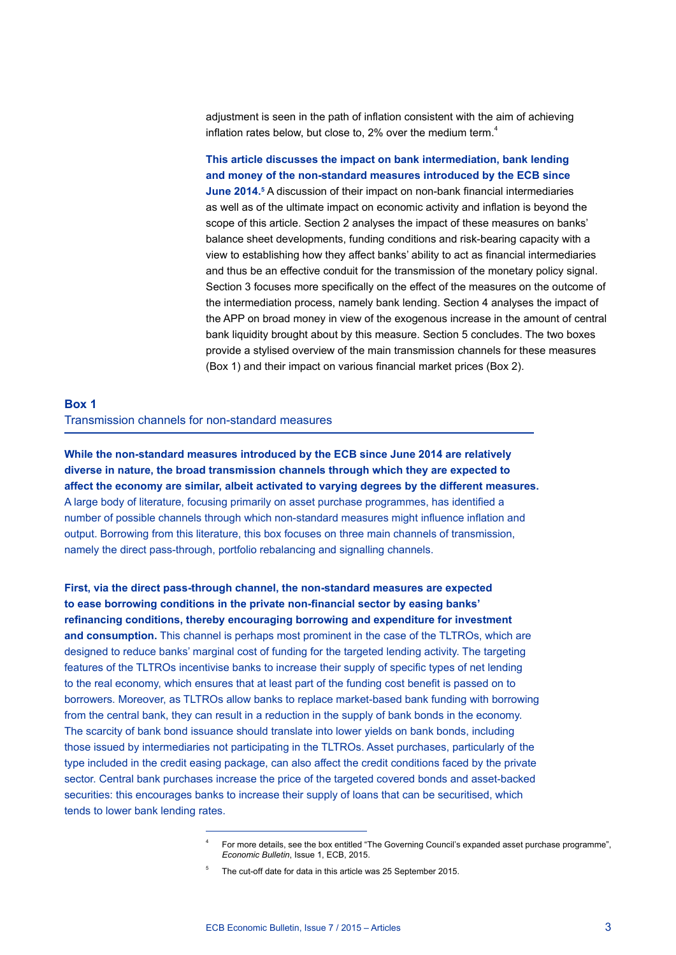adjustment is seen in the path of inflation consistent with the aim of achieving inflation rates below, but close to, 2% over the medium term.<sup>4</sup>

**This article discusses the impact on bank intermediation, bank lending and money of the non-standard measures introduced by the ECB since June 2014.**<sup>5</sup> A discussion of their impact on non-bank financial intermediaries as well as of the ultimate impact on economic activity and inflation is beyond the scope of this article. Section 2 analyses the impact of these measures on banks' balance sheet developments, funding conditions and risk-bearing capacity with a view to establishing how they affect banks' ability to act as financial intermediaries and thus be an effective conduit for the transmission of the monetary policy signal. Section 3 focuses more specifically on the effect of the measures on the outcome of the intermediation process, namely bank lending. Section 4 analyses the impact of the APP on broad money in view of the exogenous increase in the amount of central bank liquidity brought about by this measure. Section 5 concludes. The two boxes provide a stylised overview of the main transmission channels for these measures (Box 1) and their impact on various financial market prices (Box 2).

## **Box 1**  Transmission channels for non-standard measures

**While the non-standard measures introduced by the ECB since June 2014 are relatively diverse in nature, the broad transmission channels through which they are expected to affect the economy are similar, albeit activated to varying degrees by the different measures.** A large body of literature, focusing primarily on asset purchase programmes, has identified a number of possible channels through which non-standard measures might influence inflation and output. Borrowing from this literature, this box focuses on three main channels of transmission, namely the direct pass-through, portfolio rebalancing and signalling channels.

**First, via the direct pass-through channel, the non-standard measures are expected to ease borrowing conditions in the private non-financial sector by easing banks' refinancing conditions, thereby encouraging borrowing and expenditure for investment and consumption.** This channel is perhaps most prominent in the case of the TLTROs, which are designed to reduce banks' marginal cost of funding for the targeted lending activity. The targeting features of the TLTROs incentivise banks to increase their supply of specific types of net lending to the real economy, which ensures that at least part of the funding cost benefit is passed on to borrowers. Moreover, as TLTROs allow banks to replace market-based bank funding with borrowing from the central bank, they can result in a reduction in the supply of bank bonds in the economy. The scarcity of bank bond issuance should translate into lower yields on bank bonds, including those issued by intermediaries not participating in the TLTROs. Asset purchases, particularly of the type included in the credit easing package, can also affect the credit conditions faced by the private sector. Central bank purchases increase the price of the targeted covered bonds and asset-backed securities: this encourages banks to increase their supply of loans that can be securitised, which tends to lower bank lending rates.

<sup>4</sup> For more details, see the box entitled "The Governing Council's expanded asset purchase programme", *Economic Bulletin*, Issue 1, ECB, 2015.

<sup>5</sup> The cut-off date for data in this article was 25 September 2015.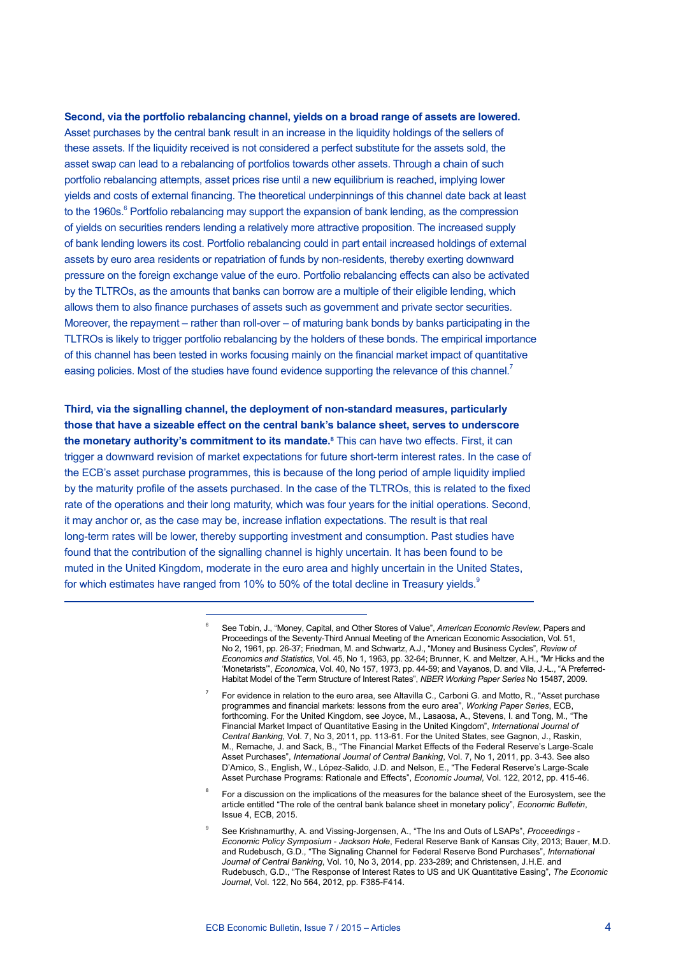**Second, via the portfolio rebalancing channel, yields on a broad range of assets are lowered.** Asset purchases by the central bank result in an increase in the liquidity holdings of the sellers of these assets. If the liquidity received is not considered a perfect substitute for the assets sold, the asset swap can lead to a rebalancing of portfolios towards other assets. Through a chain of such portfolio rebalancing attempts, asset prices rise until a new equilibrium is reached, implying lower yields and costs of external financing. The theoretical underpinnings of this channel date back at least to the 1960s.<sup>6</sup> Portfolio rebalancing may support the expansion of bank lending, as the compression of yields on securities renders lending a relatively more attractive proposition. The increased supply of bank lending lowers its cost. Portfolio rebalancing could in part entail increased holdings of external assets by euro area residents or repatriation of funds by non-residents, thereby exerting downward pressure on the foreign exchange value of the euro. Portfolio rebalancing effects can also be activated by the TLTROs, as the amounts that banks can borrow are a multiple of their eligible lending, which allows them to also finance purchases of assets such as government and private sector securities. Moreover, the repayment – rather than roll-over – of maturing bank bonds by banks participating in the TLTROs is likely to trigger portfolio rebalancing by the holders of these bonds. The empirical importance of this channel has been tested in works focusing mainly on the financial market impact of quantitative easing policies. Most of the studies have found evidence supporting the relevance of this channel.<sup>7</sup>

**Third, via the signalling channel, the deployment of non-standard measures, particularly those that have a sizeable effect on the central bank's balance sheet, serves to underscore the monetary authority's commitment to its mandate.<sup>8</sup> This can have two effects. First, it can** trigger a downward revision of market expectations for future short-term interest rates. In the case of the ECB's asset purchase programmes, this is because of the long period of ample liquidity implied by the maturity profile of the assets purchased. In the case of the TLTROs, this is related to the fixed rate of the operations and their long maturity, which was four years for the initial operations. Second, it may anchor or, as the case may be, increase inflation expectations. The result is that real long-term rates will be lower, thereby supporting investment and consumption. Past studies have found that the contribution of the signalling channel is highly uncertain. It has been found to be muted in the United Kingdom, moderate in the euro area and highly uncertain in the United States, for which estimates have ranged from 10% to 50% of the total decline in Treasury yields.<sup>9</sup>

- <sup>6</sup> See Tobin, J., "Money, Capital, and Other Stores of Value", *American Economic Review*, Papers and Proceedings of the Seventy-Third Annual Meeting of the American Economic Association, Vol. 51, No 2, 1961, pp. 26-37; Friedman, M. and Schwartz, A.J., "Money and Business Cycles", *Review of Economics and Statistics*, Vol. 45, No 1, 1963, pp. 32-64; Brunner, K. and Meltzer, A.H., "Mr Hicks and the 'Monetarists'", *Economica*, Vol. 40, No 157, 1973, pp. 44-59; and Vayanos, D. and Vila, J.-L., "A Preferred-Habitat Model of the Term Structure of Interest Rates", *NBER Working Paper Series* No 15487, 2009.
- <sup>7</sup> For evidence in relation to the euro area, see Altavilla C., Carboni G. and Motto, R., "Asset purchase programmes and financial markets: lessons from the euro area", *Working Paper Series*, ECB, forthcoming. For the United Kingdom, see Joyce, M., Lasaosa, A., Stevens, I. and Tong, M., "The Financial Market Impact of Quantitative Easing in the United Kingdom", *International Journal of Central Banking*, Vol. 7, No 3, 2011, pp. 113-61. For the United States, see Gagnon, J., Raskin, M., Remache, J. and Sack, B., "The Financial Market Effects of the Federal Reserve's Large-Scale Asset Purchases", *International Journal of Central Banking*, Vol. 7, No 1, 2011, pp. 3-43. See also D'Amico, S., English, W., López-Salido, J.D. and Nelson, E., "The Federal Reserve's Large-Scale Asset Purchase Programs: Rationale and Effects", *Economic Journal*, Vol. 122, 2012, pp. 415-46.
- <sup>8</sup> For a discussion on the implications of the measures for the balance sheet of the Eurosystem, see the article entitled "The role of the central bank balance sheet in monetary policy", *Economic Bulletin*, Issue 4, ECB, 2015.
- <sup>9</sup> See Krishnamurthy, A. and Vissing-Jorgensen, A., "The Ins and Outs of LSAPs", *Proceedings Economic Policy Symposium - Jackson Hole*, Federal Reserve Bank of Kansas City, 2013; Bauer, M.D. and Rudebusch, G.D., "The Signaling Channel for Federal Reserve Bond Purchases", *International Journal of Central Banking*, Vol. 10, No 3, 2014, pp. 233-289; and Christensen, J.H.E. and Rudebusch, G.D., "The Response of Interest Rates to US and UK Quantitative Easing", *The Economic Journal*, Vol. 122, No 564, 2012, pp. F385-F414.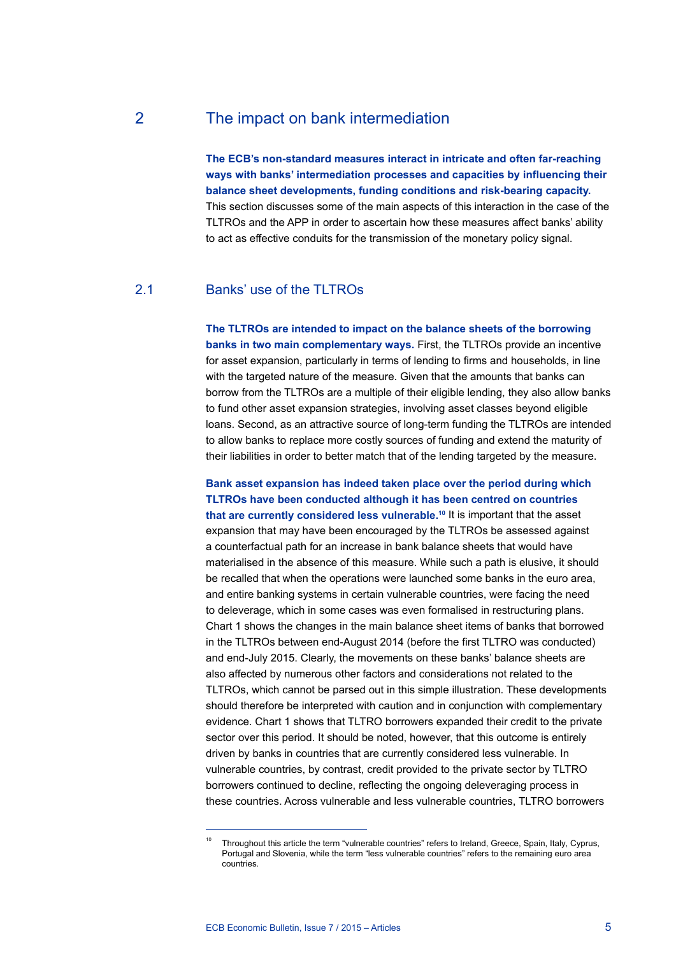2 The impact on bank intermediation

**The ECB's non-standard measures interact in intricate and often far-reaching ways with banks' intermediation processes and capacities by influencing their balance sheet developments, funding conditions and risk-bearing capacity.** This section discusses some of the main aspects of this interaction in the case of the TLTROs and the APP in order to ascertain how these measures affect banks' ability to act as effective conduits for the transmission of the monetary policy signal.

### 2.1 Banks' use of the TLTROs

**The TLTROs are intended to impact on the balance sheets of the borrowing banks in two main complementary ways.** First, the TLTROs provide an incentive for asset expansion, particularly in terms of lending to firms and households, in line with the targeted nature of the measure. Given that the amounts that banks can borrow from the TLTROs are a multiple of their eligible lending, they also allow banks to fund other asset expansion strategies, involving asset classes beyond eligible loans. Second, as an attractive source of long-term funding the TLTROs are intended to allow banks to replace more costly sources of funding and extend the maturity of their liabilities in order to better match that of the lending targeted by the measure.

## **Bank asset expansion has indeed taken place over the period during which TLTROs have been conducted although it has been centred on countries**

**that are currently considered less vulnerable.10** It is important that the asset expansion that may have been encouraged by the TLTROs be assessed against a counterfactual path for an increase in bank balance sheets that would have materialised in the absence of this measure. While such a path is elusive, it should be recalled that when the operations were launched some banks in the euro area, and entire banking systems in certain vulnerable countries, were facing the need to deleverage, which in some cases was even formalised in restructuring plans. Chart 1 shows the changes in the main balance sheet items of banks that borrowed in the TLTROs between end-August 2014 (before the first TLTRO was conducted) and end-July 2015. Clearly, the movements on these banks' balance sheets are also affected by numerous other factors and considerations not related to the TLTROs, which cannot be parsed out in this simple illustration. These developments should therefore be interpreted with caution and in conjunction with complementary evidence. Chart 1 shows that TLTRO borrowers expanded their credit to the private sector over this period. It should be noted, however, that this outcome is entirely driven by banks in countries that are currently considered less vulnerable. In vulnerable countries, by contrast, credit provided to the private sector by TLTRO borrowers continued to decline, reflecting the ongoing deleveraging process in these countries. Across vulnerable and less vulnerable countries, TLTRO borrowers

ECB Economic Bulletin, Issue 7 / 2015 – Articles 5

Throughout this article the term "vulnerable countries" refers to Ireland, Greece, Spain, Italy, Cyprus, Portugal and Slovenia, while the term "less vulnerable countries" refers to the remaining euro area countries.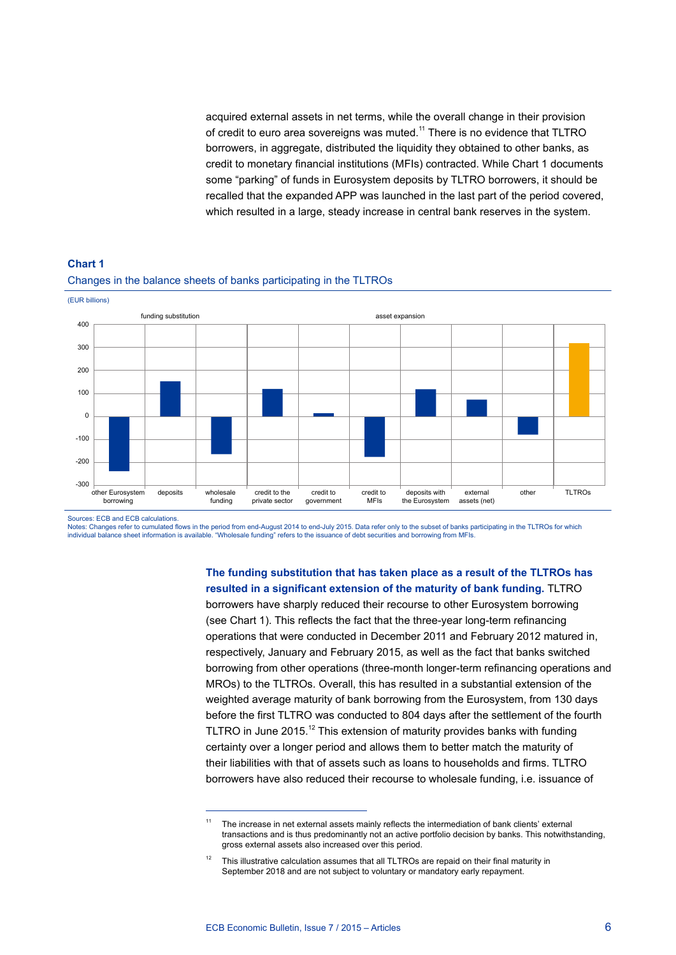acquired external assets in net terms, while the overall change in their provision of credit to euro area sovereigns was muted.<sup>11</sup> There is no evidence that TLTRO borrowers, in aggregate, distributed the liquidity they obtained to other banks, as credit to monetary financial institutions (MFIs) contracted. While Chart 1 documents some "parking" of funds in Eurosystem deposits by TLTRO borrowers, it should be recalled that the expanded APP was launched in the last part of the period covered, which resulted in a large, steady increase in central bank reserves in the system.



#### **Chart 1** Changes in the balance sheets of banks participating in the TLTROs

Sources: ECB and ECB calculations.

Notes: Changes refer to cumulated flows in the period from end-August 2014 to end-July 2015. Data refer only to the subset of banks participating in the TLTROs for which<br>individual balance sheet information is available. "

**The funding substitution that has taken place as a result of the TLTROs has resulted in a significant extension of the maturity of bank funding.** TLTRO

borrowers have sharply reduced their recourse to other Eurosystem borrowing (see Chart 1). This reflects the fact that the three-year long-term refinancing operations that were conducted in December 2011 and February 2012 matured in, respectively, January and February 2015, as well as the fact that banks switched borrowing from other operations (three-month longer-term refinancing operations and MROs) to the TLTROs. Overall, this has resulted in a substantial extension of the weighted average maturity of bank borrowing from the Eurosystem, from 130 days before the first TLTRO was conducted to 804 days after the settlement of the fourth TLTRO in June 2015.<sup>12</sup> This extension of maturity provides banks with funding certainty over a longer period and allows them to better match the maturity of their liabilities with that of assets such as loans to households and firms. TLTRO borrowers have also reduced their recourse to wholesale funding, i.e. issuance of

<sup>&</sup>lt;sup>11</sup> The increase in net external assets mainly reflects the intermediation of bank clients' external transactions and is thus predominantly not an active portfolio decision by banks. This notwithstanding, gross external assets also increased over this period.

<sup>12</sup> This illustrative calculation assumes that all TLTROs are repaid on their final maturity in September 2018 and are not subject to voluntary or mandatory early repayment.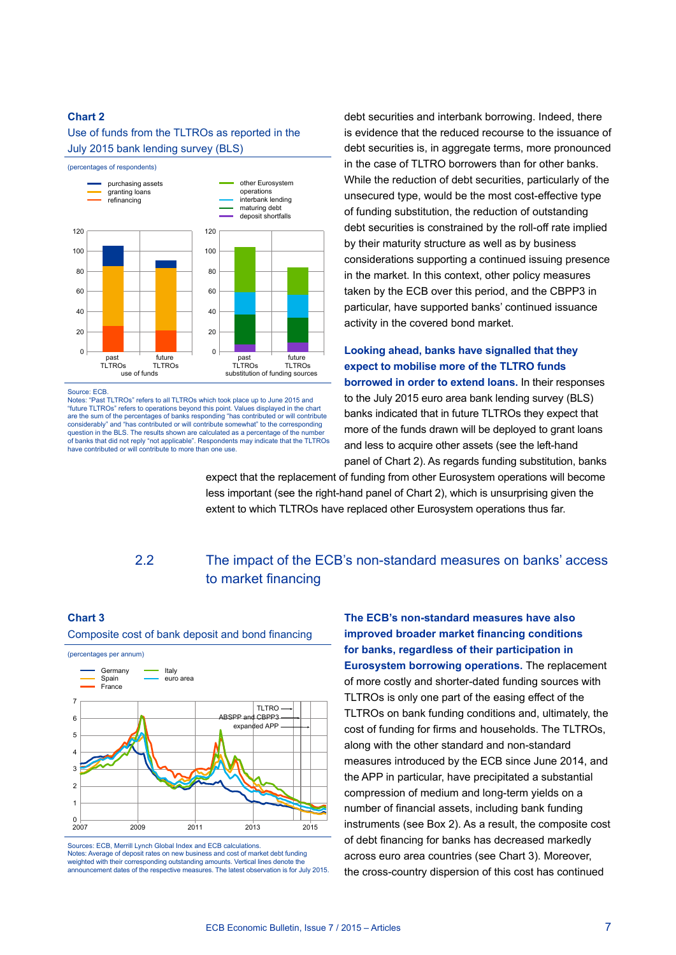#### Use of funds from the TLTROs as reported in the July 2015 bank lending survey (BLS)



Source: ECB.

Notes: "Past TLTROs" refers to all TLTROs which took place up to June 2015 and "future TLTROs" refers to operations beyond this point. Values displayed in the chart are the sum of the percentages of banks responding "has contributed or will contribute considerably" and "has contributed or will contribute somewhat" to the corresponding question in the BLS. The results shown are calculated as a percentage of the numb of banks that did not reply "not applicable". Respondents may indicate that the TLTROs have contributed or will contribute to more than one use.

debt securities and interbank borrowing. Indeed, there is evidence that the reduced recourse to the issuance of debt securities is, in aggregate terms, more pronounced in the case of TLTRO borrowers than for other banks. While the reduction of debt securities, particularly of the unsecured type, would be the most cost-effective type of funding substitution, the reduction of outstanding debt securities is constrained by the roll-off rate implied by their maturity structure as well as by business considerations supporting a continued issuing presence in the market. In this context, other policy measures taken by the ECB over this period, and the CBPP3 in particular, have supported banks' continued issuance activity in the covered bond market.

## **Looking ahead, banks have signalled that they expect to mobilise more of the TLTRO funds borrowed in order to extend loans.** In their responses to the July 2015 euro area bank lending survey (BLS) banks indicated that in future TLTROs they expect that more of the funds drawn will be deployed to grant loans and less to acquire other assets (see the left-hand panel of Chart 2). As regards funding substitution, banks

expect that the replacement of funding from other Eurosystem operations will become less important (see the right-hand panel of Chart 2), which is unsurprising given the extent to which TLTROs have replaced other Eurosystem operations thus far.

## 2.2 The impact of the ECB's non-standard measures on banks' access to market financing

#### **Chart 3**

#### Composite cost of bank deposit and bond financing



Sources: ECB, Merrill Lynch Global Index and ECB calculations. Notes: Average of deposit rates on new business and cost of market debt funding weighted with their corresponding outstanding amounts. Vertical lines denote the announcement dates of the respective measures. The latest observation is for July 2015.

**The ECB's non-standard measures have also improved broader market financing conditions for banks, regardless of their participation in Eurosystem borrowing operations.** The replacement of more costly and shorter-dated funding sources with TLTROs is only one part of the easing effect of the TLTROs on bank funding conditions and, ultimately, the cost of funding for firms and households. The TLTROs, along with the other standard and non-standard measures introduced by the ECB since June 2014, and the APP in particular, have precipitated a substantial compression of medium and long-term yields on a number of financial assets, including bank funding instruments (see Box 2). As a result, the composite cost of debt financing for banks has decreased markedly across euro area countries (see Chart 3). Moreover, the cross-country dispersion of this cost has continued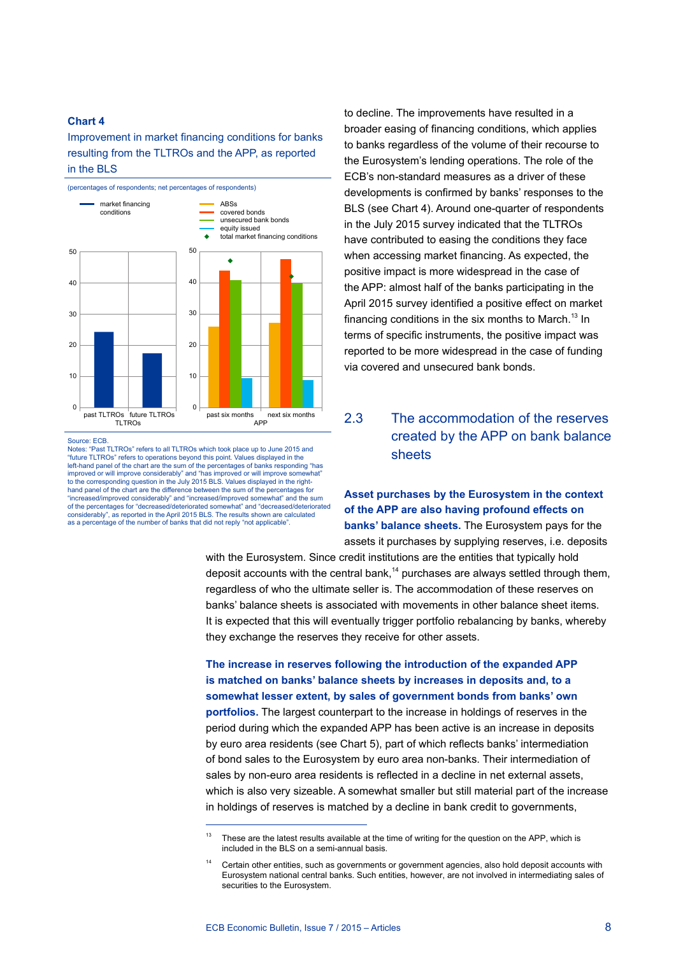Improvement in market financing conditions for banks resulting from the TLTROs and the APP, as reported in the BLS



Source: ECB.

Notes: "Past TLTROs" refers to all TLTROs which took place up to June 2015 and "future TLTROs" refers to operations beyond this point. Values displayed in the left-hand panel of the chart are the sum of the percentages of banks responding "has improved or will improve considerably" and "has improved or will improve somewhat" to the corresponding question in the July 2015 BLS. Values displayed in the righthand panel of the chart are the difference between the sum of the percentages for "increased/improved considerably" and "increased/improved somewhat" and the sum of the percentages for "decreased/deteriorated somewhat" and "decreased/deteriorated considerably", as reported in the April 2015 BLS. The results shown are calculated as a percentage of the number of banks that did not reply "not applicable".

to decline. The improvements have resulted in a broader easing of financing conditions, which applies to banks regardless of the volume of their recourse to the Eurosystem's lending operations. The role of the ECB's non-standard measures as a driver of these developments is confirmed by banks' responses to the BLS (see Chart 4). Around one-quarter of respondents in the July 2015 survey indicated that the TLTROs have contributed to easing the conditions they face when accessing market financing. As expected, the positive impact is more widespread in the case of the APP: almost half of the banks participating in the April 2015 survey identified a positive effect on market financing conditions in the six months to March.<sup>13</sup> In terms of specific instruments, the positive impact was reported to be more widespread in the case of funding via covered and unsecured bank bonds.

2.3 The accommodation of the reserves created by the APP on bank balance sheets

**Asset purchases by the Eurosystem in the context of the APP are also having profound effects on banks' balance sheets.** The Eurosystem pays for the assets it purchases by supplying reserves, i.e. deposits

with the Eurosystem. Since credit institutions are the entities that typically hold deposit accounts with the central bank, $14$  purchases are always settled through them, regardless of who the ultimate seller is. The accommodation of these reserves on banks' balance sheets is associated with movements in other balance sheet items. It is expected that this will eventually trigger portfolio rebalancing by banks, whereby they exchange the reserves they receive for other assets.

**The increase in reserves following the introduction of the expanded APP is matched on banks' balance sheets by increases in deposits and, to a somewhat lesser extent, by sales of government bonds from banks' own portfolios.** The largest counterpart to the increase in holdings of reserves in the period during which the expanded APP has been active is an increase in deposits by euro area residents (see Chart 5), part of which reflects banks' intermediation of bond sales to the Eurosystem by euro area non-banks. Their intermediation of sales by non-euro area residents is reflected in a decline in net external assets, which is also very sizeable. A somewhat smaller but still material part of the increase in holdings of reserves is matched by a decline in bank credit to governments,

These are the latest results available at the time of writing for the question on the APP, which is included in the BLS on a semi-annual basis.

<sup>&</sup>lt;sup>14</sup> Certain other entities, such as governments or government agencies, also hold deposit accounts with Eurosystem national central banks. Such entities, however, are not involved in intermediating sales of securities to the Eurosystem.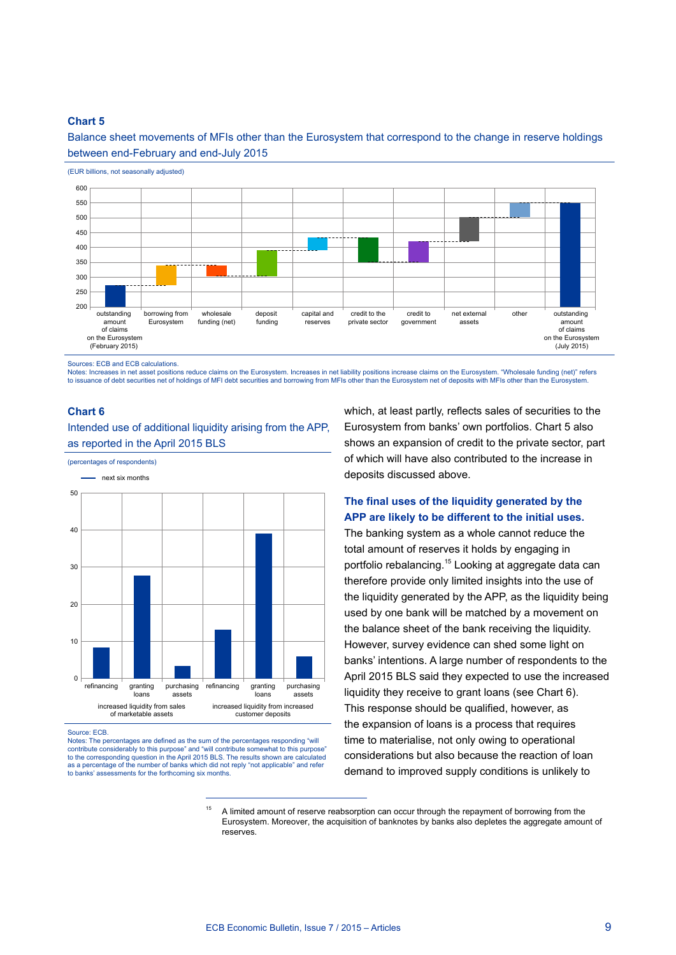Balance sheet movements of MFIs other than the Eurosystem that correspond to the change in reserve holdings between end-February and end-July 2015



Sources: ECB and ECB calculations.

(EUR billions, not seasonally adjusted)

(percentages of respondents)

Notes: Increases in net asset positions reduce claims on the Eurosystem. Increases in net liability positions increase claims on the Eurosystem. "Wholesale funding (net)" refers to issuance of debt securities net of holdings of MFI debt securities and borrowing from MFIs other than the Eurosystem net of deposits with MFIs other than the Eurosystem

#### **Chart 6**

Intended use of additional liquidity arising from the APP, as reported in the April 2015 BLS

 $\overline{0}$ 10 20 30 40 50 refinancing granting loans purchasing assets refinancing granting<br>loans purchasing assets increased liquidity from sales of marketable assets increased liquidity from increased customer deposits next six months

Source: ECB.

Notes: The percentages are defined as the sum of the percentages responding "will contribute considerably to this purpose" and "will contribute somewhat to this purpose"<br>to the corresponding question in the April 2015 BLS. The results shown are calculated to the corresponding question in the April 2015 BLS. The results shown are called as a percentage of the number of banks which did not reply "not applicable" and refer to banks' assessments for the forthcoming six months. to branks for the forthcoming six months.

which, at least partly, reflects sales of securities to the Eurosystem from banks' own portfolios. Chart 5 also shows an expansion of credit to the private sector, part of which will have also contributed to the increase in deposits discussed above.

## **The final uses of the liquidity generated by the APP are likely to be different to the initial uses.**

The banking system as a whole cannot reduce the total amount of reserves it holds by engaging in portfolio rebalancing.<sup>15</sup> Looking at aggregate data can therefore provide only limited insights into the use of the liquidity generated by the APP, as the liquidity being used by one bank will be matched by a movement on the balance sheet of the bank receiving the liquidity. However, survey evidence can shed some light on banks' intentions. A large number of respondents to the April 2015 BLS said they expected to use the increased liquidity they receive to grant loans (see Chart 6). This response should be qualified, however, as the expansion of loans is a process that requires time to materialise, not only owing to operational considerations but also because the reaction of loan demand to improved supply conditions is unlikely to

<sup>15</sup> A limited amount of reserve reabsorption can occur through the repayment of borrowing from the Eurosystem. Moreover, the acquisition of banknotes by banks also depletes the aggregate amount of reserves.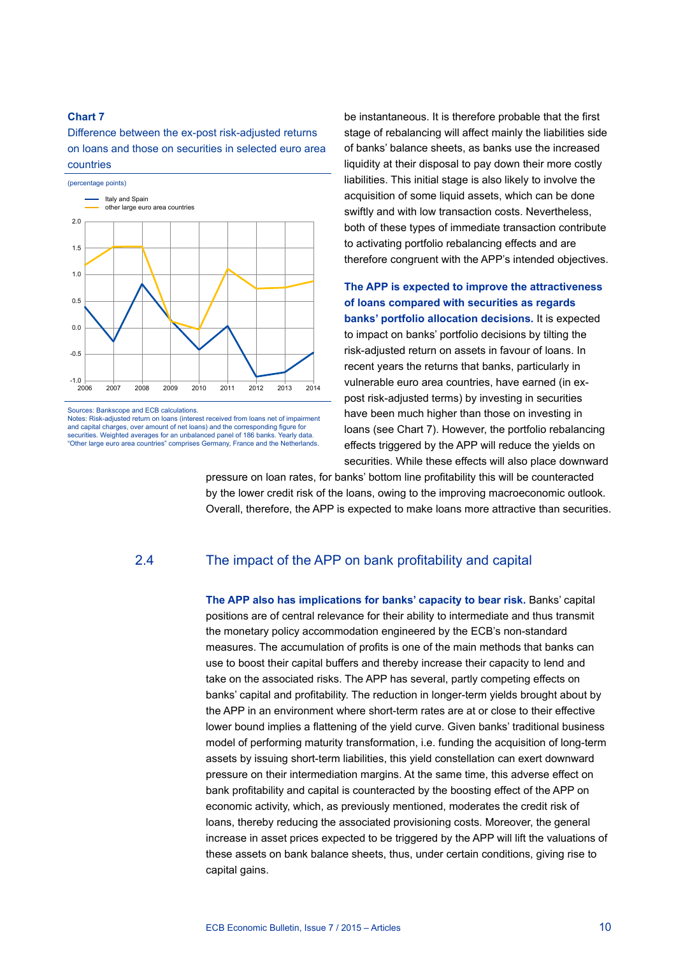Difference between the ex-post risk-adjusted returns on loans and those on securities in selected euro area countries



Sources: Bankscope and ECB calculations.

Notes: Risk-adjusted return on loans (interest received from loans net of impairment and capital charges, over amount of net loans) and the corresponding figure for securities. Weighted averages for an unbalanced panel of 186 banks. Yearly data. "Other large euro area countries" comprises Germany, France and the Netherlands.

be instantaneous. It is therefore probable that the first stage of rebalancing will affect mainly the liabilities side of banks' balance sheets, as banks use the increased liquidity at their disposal to pay down their more costly liabilities. This initial stage is also likely to involve the acquisition of some liquid assets, which can be done swiftly and with low transaction costs. Nevertheless, both of these types of immediate transaction contribute to activating portfolio rebalancing effects and are therefore congruent with the APP's intended objectives.

**The APP is expected to improve the attractiveness of loans compared with securities as regards banks' portfolio allocation decisions.** It is expected to impact on banks' portfolio decisions by tilting the risk-adjusted return on assets in favour of loans. In recent years the returns that banks, particularly in vulnerable euro area countries, have earned (in expost risk-adjusted terms) by investing in securities have been much higher than those on investing in loans (see Chart 7). However, the portfolio rebalancing effects triggered by the APP will reduce the yields on securities. While these effects will also place downward

pressure on loan rates, for banks' bottom line profitability this will be counteracted by the lower credit risk of the loans, owing to the improving macroeconomic outlook. Overall, therefore, the APP is expected to make loans more attractive than securities.

## 2.4 The impact of the APP on bank profitability and capital

**The APP also has implications for banks' capacity to bear risk.** Banks' capital positions are of central relevance for their ability to intermediate and thus transmit the monetary policy accommodation engineered by the ECB's non-standard measures. The accumulation of profits is one of the main methods that banks can use to boost their capital buffers and thereby increase their capacity to lend and take on the associated risks. The APP has several, partly competing effects on banks' capital and profitability. The reduction in longer-term yields brought about by the APP in an environment where short-term rates are at or close to their effective lower bound implies a flattening of the yield curve. Given banks' traditional business model of performing maturity transformation, i.e. funding the acquisition of long-term assets by issuing short-term liabilities, this yield constellation can exert downward pressure on their intermediation margins. At the same time, this adverse effect on bank profitability and capital is counteracted by the boosting effect of the APP on economic activity, which, as previously mentioned, moderates the credit risk of loans, thereby reducing the associated provisioning costs. Moreover, the general increase in asset prices expected to be triggered by the APP will lift the valuations of these assets on bank balance sheets, thus, under certain conditions, giving rise to capital gains.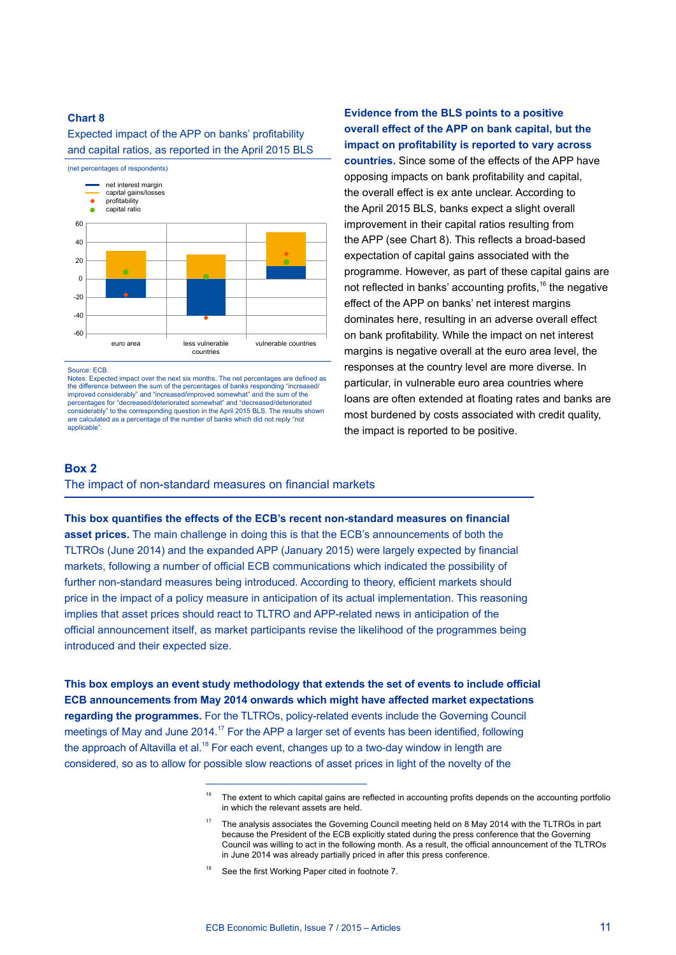#### Expected impact of the APP on banks' profitability and capital ratios, as reported in the April 2015 BLS



Source: ECB.

Notes: Expected impact over the next six months. The net percentages are defined as the difference between the sum of the percentages of banks responding "increased/ improved considerably" and "increased/improved somewhat" and the sum of the percentages for "decreased/deteriorated somewhat" and "decreased/deteriorated considerably" to the corresponding question in the April 2015 BLS. The results shown are calculated as a percentage of the number of banks which did not reply "not applicable<sup>"</sup>

**Evidence from the BLS points to a positive overall effect of the APP on bank capital, but the impact on profitability is reported to vary across countries.** Since some of the effects of the APP have opposing impacts on bank profitability and capital, the overall effect is ex ante unclear. According to the April 2015 BLS, banks expect a slight overall improvement in their capital ratios resulting from the APP (see Chart 8). This reflects a broad-based expectation of capital gains associated with the programme. However, as part of these capital gains are not reflected in banks' accounting profits,<sup>16</sup> the negative effect of the APP on banks' net interest margins dominates here, resulting in an adverse overall effect on bank profitability. While the impact on net interest margins is negative overall at the euro area level, the responses at the country level are more diverse. In particular, in vulnerable euro area countries where loans are often extended at floating rates and banks are most burdened by costs associated with credit quality, the impact is reported to be positive.

### **Box 2** The impact of non-standard measures on financial markets

#### **This box quantifies the effects of the ECB's recent non-standard measures on financial**

**asset prices.** The main challenge in doing this is that the ECB's announcements of both the TLTROs (June 2014) and the expanded APP (January 2015) were largely expected by financial markets, following a number of official ECB communications which indicated the possibility of further non-standard measures being introduced. According to theory, efficient markets should price in the impact of a policy measure in anticipation of its actual implementation. This reasoning implies that asset prices should react to TLTRO and APP-related news in anticipation of the official announcement itself, as market participants revise the likelihood of the programmes being introduced and their expected size.

**This box employs an event study methodology that extends the set of events to include official ECB announcements from May 2014 onwards which might have affected market expectations regarding the programmes.** For the TLTROs, policy-related events include the Governing Council meetings of May and June 2014.<sup>17</sup> For the APP a larger set of events has been identified, following the approach of Altavilla et al.<sup>18</sup> For each event, changes up to a two-day window in length are considered, so as to allow for possible slow reactions of asset prices in light of the novelty of the

<sup>18</sup> See the first Working Paper cited in footnote 7.

 $16$  The extent to which capital gains are reflected in accounting profits depends on the accounting portfolio in which the relevant assets are held.

<sup>17</sup> The analysis associates the Governing Council meeting held on 8 May 2014 with the TLTROs in part because the President of the ECB explicitly stated during the press conference that the Governing Council was willing to act in the following month. As a result, the official announcement of the TLTROs in June 2014 was already partially priced in after this press conference.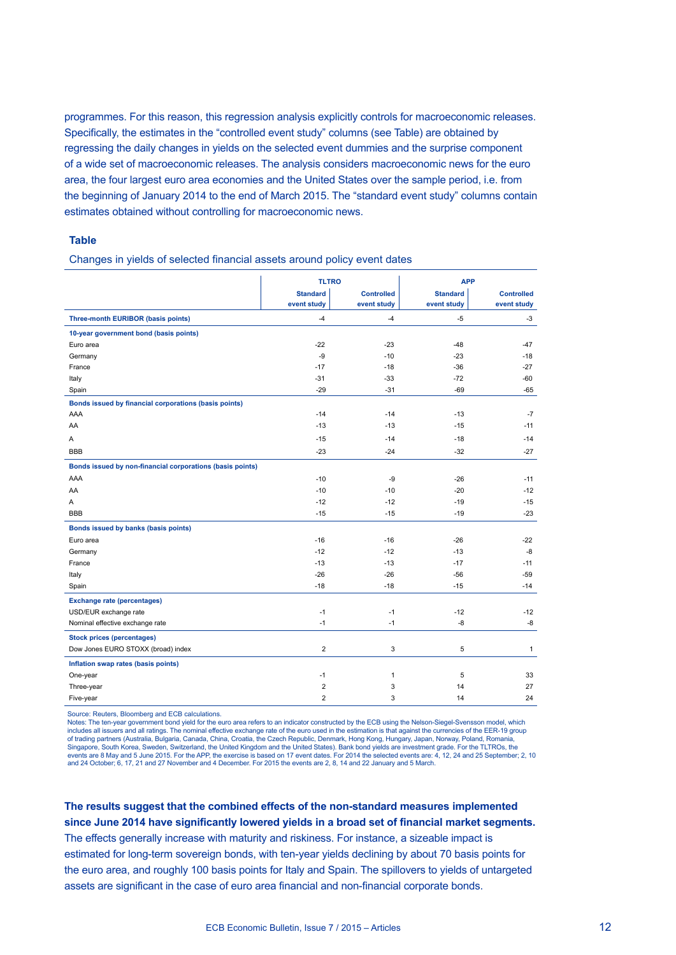programmes. For this reason, this regression analysis explicitly controls for macroeconomic releases. Specifically, the estimates in the "controlled event study" columns (see Table) are obtained by regressing the daily changes in yields on the selected event dummies and the surprise component of a wide set of macroeconomic releases. The analysis considers macroeconomic news for the euro area, the four largest euro area economies and the United States over the sample period, i.e. from the beginning of January 2014 to the end of March 2015. The "standard event study" columns contain estimates obtained without controlling for macroeconomic news.

#### **Table**

Changes in yields of selected financial assets around policy event dates

|                                                           | <b>TLTRO</b>     |                   |                 | <b>APP</b>        |  |
|-----------------------------------------------------------|------------------|-------------------|-----------------|-------------------|--|
|                                                           | <b>Standard</b>  | <b>Controlled</b> | <b>Standard</b> | <b>Controlled</b> |  |
|                                                           | event study      | event study       | event study     | event study       |  |
| Three-month EURIBOR (basis points)                        | $-4$             | $-4$              | $-5$            | $-3$              |  |
| 10-year government bond (basis points)                    |                  |                   |                 |                   |  |
| Euro area                                                 | $-22$            | $-23$             | $-48$           | -47               |  |
| Germany                                                   | -9               | $-10$             | $-23$           | $-18$             |  |
| France                                                    | $-17$            | $-18$             | $-36$           | $-27$             |  |
| Italy                                                     | $-31$            | $-33$             | $-72$           | $-60$             |  |
| Spain                                                     | $-29$            | $-31$             | $-69$           | $-65$             |  |
| Bonds issued by financial corporations (basis points)     |                  |                   |                 |                   |  |
| AAA                                                       | $-14$            | $-14$             | $-13$           | $-7$              |  |
| AA                                                        | $-13$            | $-13$             | $-15$           | $-11$             |  |
| A                                                         | $-15$            | $-14$             | $-18$           | $-14$             |  |
| <b>BBB</b>                                                | $-23$            | $-24$             | $-32$           | $-27$             |  |
| Bonds issued by non-financial corporations (basis points) |                  |                   |                 |                   |  |
| AAA                                                       | $-10$            | -9                | $-26$           | $-11$             |  |
| AA                                                        | $-10$            | $-10$             | $-20$           | $-12$             |  |
| Α                                                         | $-12$            | $-12$             | $-19$           | $-15$             |  |
| <b>BBB</b>                                                | $-15$            | $-15$             | $-19$           | $-23$             |  |
| Bonds issued by banks (basis points)                      |                  |                   |                 |                   |  |
| Euro area                                                 | $-16$            | $-16$             | $-26$           | $-22$             |  |
| Germany                                                   | $-12$            | $-12$             | $-13$           | -8                |  |
| France                                                    | $-13$            | $-13$             | $-17$           | $-11$             |  |
| Italy                                                     | $-26$            | $-26$             | $-56$           | $-59$             |  |
| Spain                                                     | $-18$            | $-18$             | $-15$           | $-14$             |  |
| <b>Exchange rate (percentages)</b>                        |                  |                   |                 |                   |  |
| USD/EUR exchange rate                                     | $-1$             | $-1$              | $-12$           | $-12$             |  |
| Nominal effective exchange rate                           | $-1$             | $-1$              | -8              | -8                |  |
| <b>Stock prices (percentages)</b>                         |                  |                   |                 |                   |  |
| Dow Jones EURO STOXX (broad) index                        | $\boldsymbol{2}$ | 3                 | 5               | $\mathbf{1}$      |  |
| Inflation swap rates (basis points)                       |                  |                   |                 |                   |  |
| One-year                                                  | $-1$             | $\mathbf{1}$      | 5               | 33                |  |
| Three-year                                                | $\overline{2}$   | 3                 | 14              | 27                |  |
| Five-year                                                 | $\overline{2}$   | 3                 | 14              | 24                |  |

Source: Reuters, Bloomberg and ECB calculations.

Notes: The ten-year government bond yield for the euro area refers to an indicator constructed by the ECB using the Nelson-Siegel-Svensson model, which includes all issuers and all ratings. The nominal effective exchange rate of the euro used in the estimation is that against the currencies of the EER-19 group of trading partners (Australia, Bulgaria, Canada, China, Croatia, the Czech Republic, Denmark, Hong Kong, Hungary, Japan, Norway, Poland, Romania, Singapore, South Korea, Sweden, Switzerland, the United Kingdom and the United States). Bank bond yields are investment grade. For the TLTROs, the<br>events are 8 May and 5 June 2015. For the APP, the exercise is based on 17 and 24 October; 6, 17, 21 and 27 November and 4 December. For 2015 the events are 2, 8, 14 and 22 January and 5 March.

## **The results suggest that the combined effects of the non-standard measures implemented since June 2014 have significantly lowered yields in a broad set of financial market segments.**

The effects generally increase with maturity and riskiness. For instance, a sizeable impact is estimated for long-term sovereign bonds, with ten-year yields declining by about 70 basis points for the euro area, and roughly 100 basis points for Italy and Spain. The spillovers to yields of untargeted assets are significant in the case of euro area financial and non-financial corporate bonds.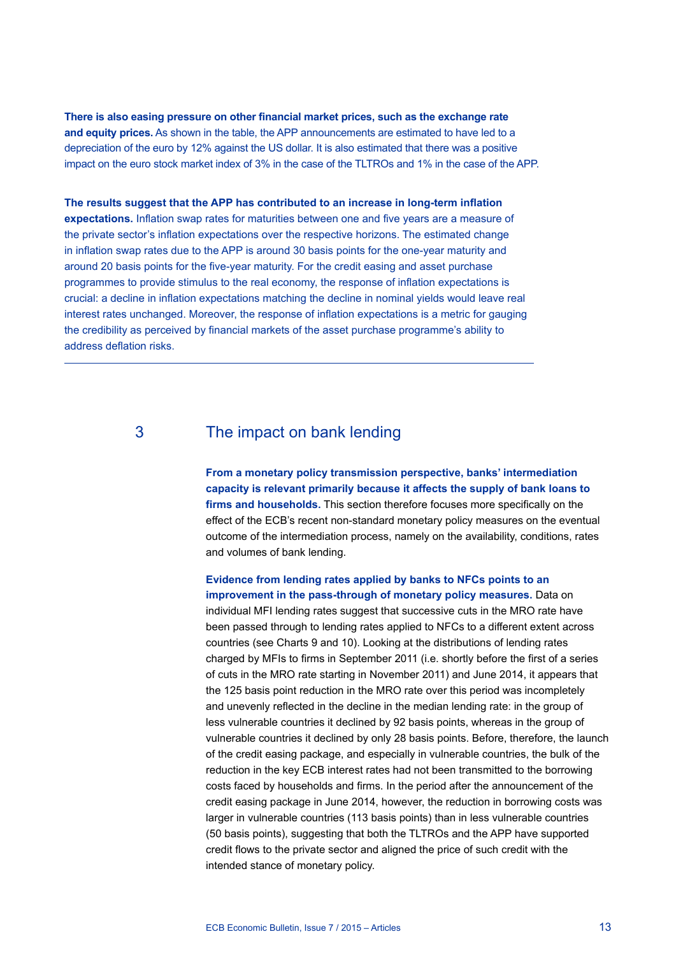**There is also easing pressure on other financial market prices, such as the exchange rate and equity prices.** As shown in the table, the APP announcements are estimated to have led to a depreciation of the euro by 12% against the US dollar. It is also estimated that there was a positive impact on the euro stock market index of 3% in the case of the TLTROs and 1% in the case of the APP.

**The results suggest that the APP has contributed to an increase in long-term inflation expectations.** Inflation swap rates for maturities between one and five years are a measure of the private sector's inflation expectations over the respective horizons. The estimated change in inflation swap rates due to the APP is around 30 basis points for the one-year maturity and around 20 basis points for the five-year maturity. For the credit easing and asset purchase programmes to provide stimulus to the real economy, the response of inflation expectations is crucial: a decline in inflation expectations matching the decline in nominal yields would leave real interest rates unchanged. Moreover, the response of inflation expectations is a metric for gauging the credibility as perceived by financial markets of the asset purchase programme's ability to address deflation risks.

## 3 The impact on bank lending

**From a monetary policy transmission perspective, banks' intermediation capacity is relevant primarily because it affects the supply of bank loans to firms and households.** This section therefore focuses more specifically on the effect of the ECB's recent non-standard monetary policy measures on the eventual outcome of the intermediation process, namely on the availability, conditions, rates and volumes of bank lending.

**Evidence from lending rates applied by banks to NFCs points to an improvement in the pass-through of monetary policy measures.** Data on individual MFI lending rates suggest that successive cuts in the MRO rate have been passed through to lending rates applied to NFCs to a different extent across countries (see Charts 9 and 10). Looking at the distributions of lending rates charged by MFIs to firms in September 2011 (i.e. shortly before the first of a series of cuts in the MRO rate starting in November 2011) and June 2014, it appears that the 125 basis point reduction in the MRO rate over this period was incompletely and unevenly reflected in the decline in the median lending rate: in the group of less vulnerable countries it declined by 92 basis points, whereas in the group of vulnerable countries it declined by only 28 basis points. Before, therefore, the launch of the credit easing package, and especially in vulnerable countries, the bulk of the reduction in the key ECB interest rates had not been transmitted to the borrowing costs faced by households and firms. In the period after the announcement of the credit easing package in June 2014, however, the reduction in borrowing costs was larger in vulnerable countries (113 basis points) than in less vulnerable countries (50 basis points), suggesting that both the TLTROs and the APP have supported credit flows to the private sector and aligned the price of such credit with the intended stance of monetary policy.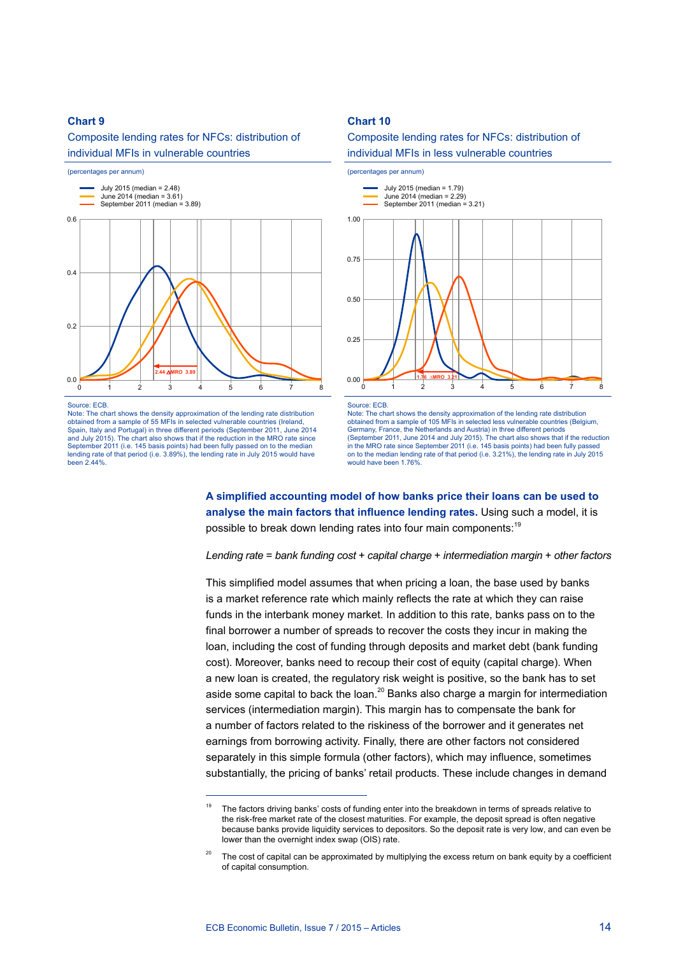Composite lending rates for NFCs: distribution of individual MFIs in vulnerable countries



#### Source: ECB.

Note: The chart shows the density approximation of the lending rate distribution obtained from a sample of 55 MFIs in selected vulnerable countries (Ireland, Spain, Italy and Portugal) in three different periods (September 2011, June 2014 and July 2015). The chart also shows that if the reduction in the MRO rate since September 2011 (i.e. 145 basis points) had been fully passed on to the median lending rate of that period (i.e. 3.89%), the lending rate in July 2015 would have been 2.44%.

#### **Chart 10**

#### Composite lending rates for NFCs: distribution of individual MFIs in less vulnerable countries



Source: ECB.

Note: The chart shows the density approximation of the lending rate distribution obtained from a sample of 105 MFIs in selected less vulnerable countries (Belgium, Germany, France, the Netherlands and Austria) in three different periods (September 2011, June 2014 and July 2015). The chart also shows that if the reduction in the MRO rate since September 2011 (i.e. 145 basis points) had been fully passed on to the median lending rate of that period (i.e. 3.21%), the lending rate in July 2015 would have been 1.76%.

**A simplified accounting model of how banks price their loans can be used to analyse the main factors that influence lending rates.** Using such a model, it is possible to break down lending rates into four main components:<sup>19</sup>

*Lending rate* = *bank funding cost* + *capital charge* + *intermediation margin* + *other factors*

This simplified model assumes that when pricing a loan, the base used by banks is a market reference rate which mainly reflects the rate at which they can raise funds in the interbank money market. In addition to this rate, banks pass on to the final borrower a number of spreads to recover the costs they incur in making the loan, including the cost of funding through deposits and market debt (bank funding cost). Moreover, banks need to recoup their cost of equity (capital charge). When a new loan is created, the regulatory risk weight is positive, so the bank has to set aside some capital to back the loan.<sup>20</sup> Banks also charge a margin for intermediation services (intermediation margin). This margin has to compensate the bank for a number of factors related to the riskiness of the borrower and it generates net earnings from borrowing activity. Finally, there are other factors not considered separately in this simple formula (other factors), which may influence, sometimes substantially, the pricing of banks' retail products. These include changes in demand

The factors driving banks' costs of funding enter into the breakdown in terms of spreads relative to the risk-free market rate of the closest maturities. For example, the deposit spread is often negative because banks provide liquidity services to depositors. So the deposit rate is very low, and can even be lower than the overnight index swap (OIS) rate.

The cost of capital can be approximated by multiplying the excess return on bank equity by a coefficient of capital consumption.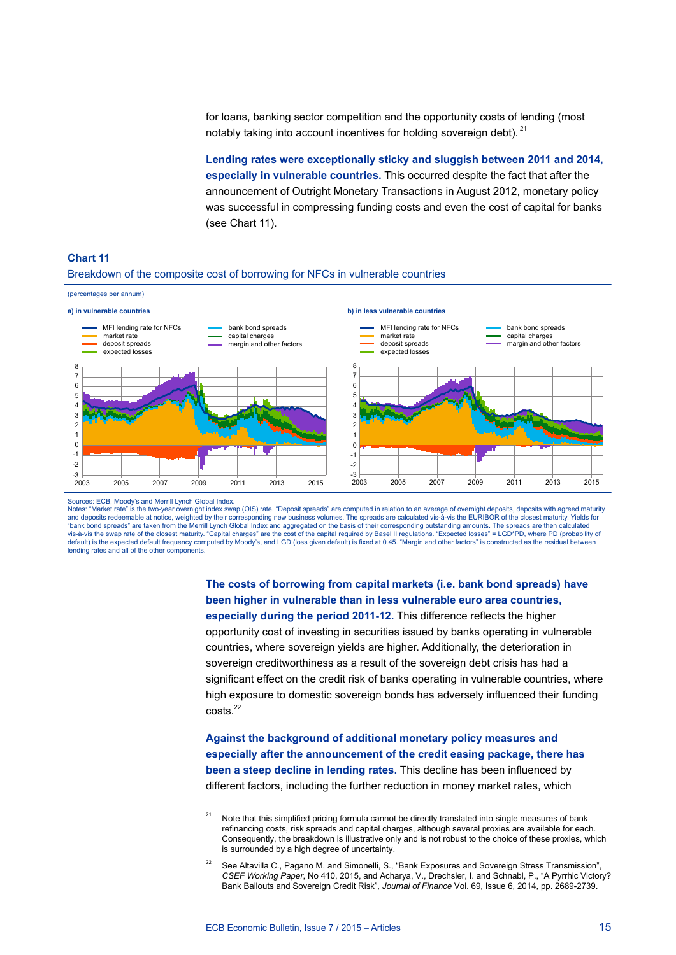for loans, banking sector competition and the opportunity costs of lending (most notably taking into account incentives for holding sovereign debt). <sup>21</sup>

**Lending rates were exceptionally sticky and sluggish between 2011 and 2014, especially in vulnerable countries.** This occurred despite the fact that after the announcement of Outright Monetary Transactions in August 2012, monetary policy was successful in compressing funding costs and even the cost of capital for banks (see Chart 11).



#### **Chart 11**

#### Breakdown of the composite cost of borrowing for NFCs in vulnerable countries

Sources: ECB, Moody's and Merrill Lynch Global Index.

Notes: "Market rate" is the two-year overnight index swap (OIS) rate. "Deposit spreads" are computed in relation to an average of overnight deposits, deposits with agreed maturity and deposits redeemable at notice, weighted by their corresponding new business volumes. The spreads are calculated vis-à-vis the EURIBOR of the closest maturity. Yields for<br>"bank bond spreads" are taken from the Merrill L vis-à-vis the swap rate of the closest maturity. "Capital charges" are the cost of the capital required by Basel II regulations. "Expected losses" = LGD\*PD, where PD (probability of<br>default) is the expected default frequen lending rates and all of the other components.

## **The costs of borrowing from capital markets (i.e. bank bond spreads) have been higher in vulnerable than in less vulnerable euro area countries,**

**especially during the period 2011-12.** This difference reflects the higher opportunity cost of investing in securities issued by banks operating in vulnerable countries, where sovereign yields are higher. Additionally, the deterioration in sovereign creditworthiness as a result of the sovereign debt crisis has had a significant effect on the credit risk of banks operating in vulnerable countries, where high exposure to domestic sovereign bonds has adversely influenced their funding costs.22

**Against the background of additional monetary policy measures and especially after the announcement of the credit easing package, there has been a steep decline in lending rates.** This decline has been influenced by different factors, including the further reduction in money market rates, which

Note that this simplified pricing formula cannot be directly translated into single measures of bank refinancing costs, risk spreads and capital charges, although several proxies are available for each. Consequently, the breakdown is illustrative only and is not robust to the choice of these proxies, which is surrounded by a high degree of uncertainty.

<sup>22</sup> See Altavilla C., Pagano M. and Simonelli, S., "Bank Exposures and Sovereign Stress Transmission", *CSEF Working Paper*, No 410, 2015, and Acharya, V., Drechsler, I. and Schnabl, P., "A Pyrrhic Victory? Bank Bailouts and Sovereign Credit Risk", *Journal of Finance* Vol. 69, Issue 6, 2014, pp. 2689-2739.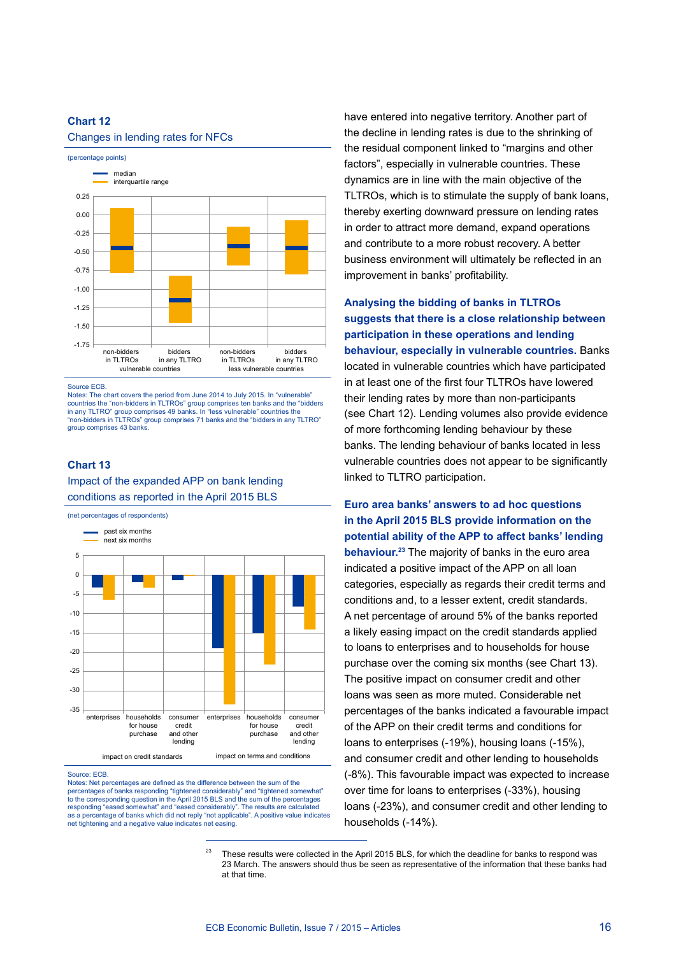#### Changes in lending rates for NFCs



Source ECB.

Notes: The chart covers the period from June 2014 to July 2015. In "vulnerable" countries the "non-bidders in TLTROs" group comprises ten banks and the "bidders in any TLTRO" group comprises 49 banks. In "less vulnerable" countries the "non-bidders in TLTROs" group comprises 71 banks and the "bidders in any TLTRO" group comprises 43 banks.

#### **Chart 13**

Impact of the expanded APP on bank lending conditions as reported in the April 2015 BLS

(net percentages of respondents)



#### Source: ECB.

Notes: Net percentages are defined as the difference between the sum of the percentages of banks responding "tightened considerably" and "tightened somewhat" to the corresponding question in the April 2015 BLS and the sum of the percentages responding "eased somewhat" and "eased considerably". The results are calculated as a percentage of banks which did not reply "not applicable". A positive value indicates net tightening and a negative value indicates net easing.

have entered into negative territory. Another part of the decline in lending rates is due to the shrinking of the residual component linked to "margins and other factors", especially in vulnerable countries. These dynamics are in line with the main objective of the TLTROs, which is to stimulate the supply of bank loans, thereby exerting downward pressure on lending rates in order to attract more demand, expand operations and contribute to a more robust recovery. A better business environment will ultimately be reflected in an improvement in banks' profitability.

**Analysing the bidding of banks in TLTROs suggests that there is a close relationship between participation in these operations and lending behaviour, especially in vulnerable countries.** Banks located in vulnerable countries which have participated in at least one of the first four TLTROs have lowered their lending rates by more than non-participants (see Chart 12). Lending volumes also provide evidence of more forthcoming lending behaviour by these banks. The lending behaviour of banks located in less vulnerable countries does not appear to be significantly linked to TLTRO participation.

**Euro area banks' answers to ad hoc questions in the April 2015 BLS provide information on the potential ability of the APP to affect banks' lending behaviour.23** The majority of banks in the euro area indicated a positive impact of the APP on all loan categories, especially as regards their credit terms and conditions and, to a lesser extent, credit standards. A net percentage of around 5% of the banks reported a likely easing impact on the credit standards applied to loans to enterprises and to households for house purchase over the coming six months (see Chart 13). The positive impact on consumer credit and other loans was seen as more muted. Considerable net percentages of the banks indicated a favourable impact of the APP on their credit terms and conditions for loans to enterprises (-19%), housing loans (-15%), and consumer credit and other lending to households (-8%). This favourable impact was expected to increase over time for loans to enterprises (-33%), housing loans (-23%), and consumer credit and other lending to households (-14%).

<sup>&</sup>lt;sup>23</sup> These results were collected in the April 2015 BLS, for which the deadline for banks to respond was 23 March. The answers should thus be seen as representative of the information that these banks had at that time.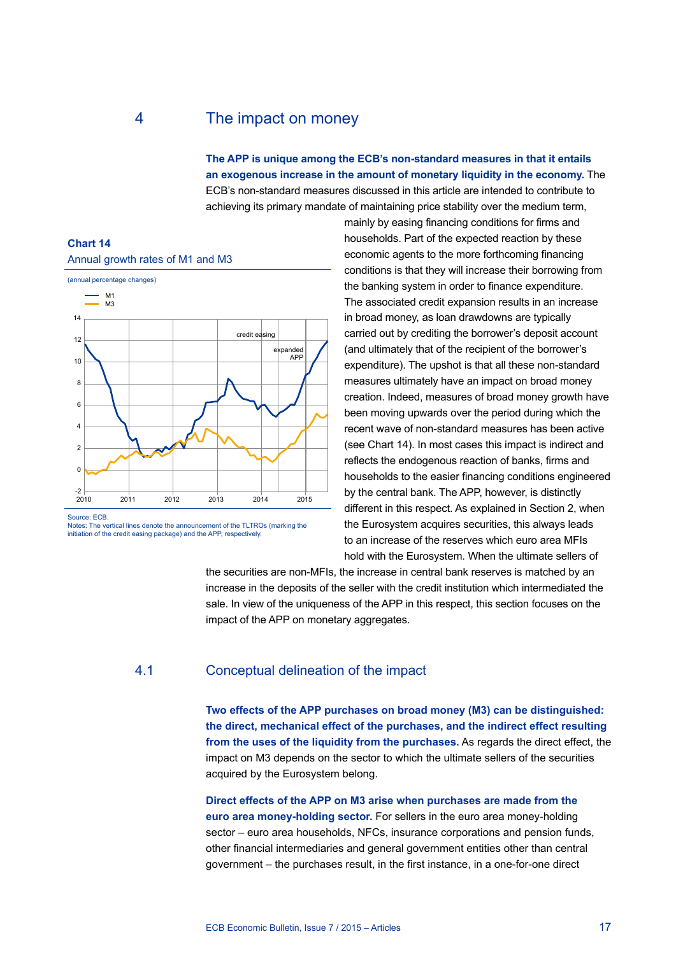## 4 The impact on money

**The APP is unique among the ECB's non-standard measures in that it entails an exogenous increase in the amount of monetary liquidity in the economy.** The ECB's non-standard measures discussed in this article are intended to contribute to achieving its primary mandate of maintaining price stability over the medium term,

### **Chart 14** Annual growth rates of M1 and M3



Source: ECB.

Notes: The vertical lines denote the announcement of the TLTROs (marking the initiation of the credit easing package) and the APP, respectively.

mainly by easing financing conditions for firms and households. Part of the expected reaction by these economic agents to the more forthcoming financing conditions is that they will increase their borrowing from the banking system in order to finance expenditure. The associated credit expansion results in an increase in broad money, as loan drawdowns are typically carried out by crediting the borrower's deposit account (and ultimately that of the recipient of the borrower's expenditure). The upshot is that all these non-standard measures ultimately have an impact on broad money creation. Indeed, measures of broad money growth have been moving upwards over the period during which the recent wave of non-standard measures has been active (see Chart 14). In most cases this impact is indirect and reflects the endogenous reaction of banks, firms and households to the easier financing conditions engineered by the central bank. The APP, however, is distinctly different in this respect. As explained in Section 2, when the Eurosystem acquires securities, this always leads to an increase of the reserves which euro area MFIs hold with the Eurosystem. When the ultimate sellers of

the securities are non-MFIs, the increase in central bank reserves is matched by an increase in the deposits of the seller with the credit institution which intermediated the sale. In view of the uniqueness of the APP in this respect, this section focuses on the impact of the APP on monetary aggregates.

#### 4.1 Conceptual delineation of the impact

**Two effects of the APP purchases on broad money (M3) can be distinguished: the direct, mechanical effect of the purchases, and the indirect effect resulting from the uses of the liquidity from the purchases.** As regards the direct effect, the impact on M3 depends on the sector to which the ultimate sellers of the securities acquired by the Eurosystem belong.

**Direct effects of the APP on M3 arise when purchases are made from the euro area money-holding sector.** For sellers in the euro area money-holding sector – euro area households, NFCs, insurance corporations and pension funds, other financial intermediaries and general government entities other than central government – the purchases result, in the first instance, in a one-for-one direct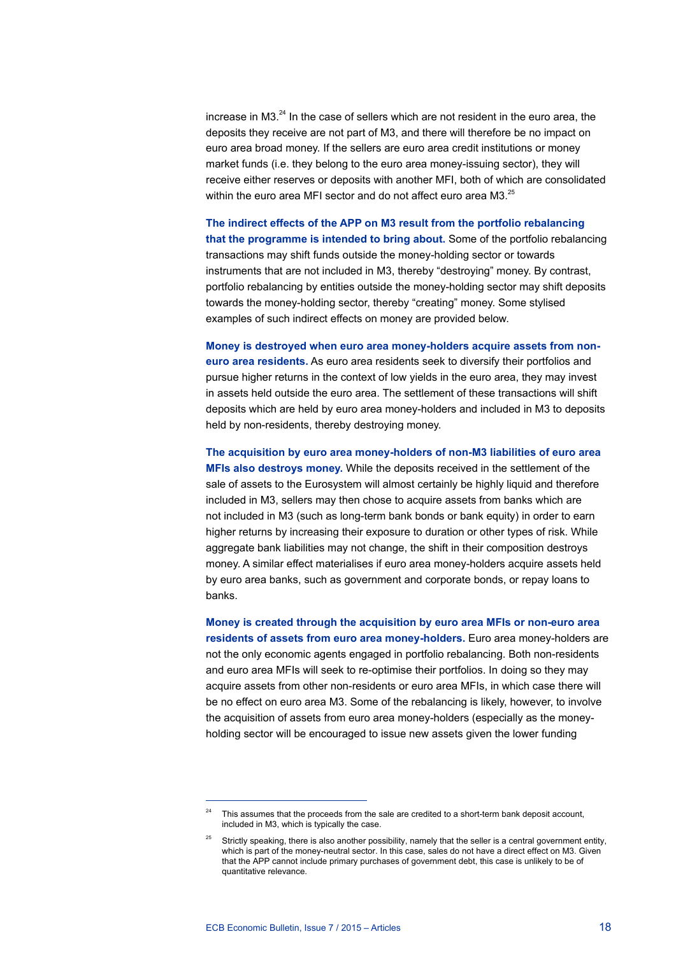increase in M3. $^{24}$  In the case of sellers which are not resident in the euro area, the deposits they receive are not part of M3, and there will therefore be no impact on euro area broad money. If the sellers are euro area credit institutions or money market funds (i.e. they belong to the euro area money-issuing sector), they will receive either reserves or deposits with another MFI, both of which are consolidated within the euro area MFI sector and do not affect euro area M3.<sup>25</sup>

**The indirect effects of the APP on M3 result from the portfolio rebalancing that the programme is intended to bring about.** Some of the portfolio rebalancing transactions may shift funds outside the money-holding sector or towards instruments that are not included in M3, thereby "destroying" money. By contrast, portfolio rebalancing by entities outside the money-holding sector may shift deposits towards the money-holding sector, thereby "creating" money. Some stylised examples of such indirect effects on money are provided below.

**Money is destroyed when euro area money-holders acquire assets from noneuro area residents.** As euro area residents seek to diversify their portfolios and pursue higher returns in the context of low yields in the euro area, they may invest in assets held outside the euro area. The settlement of these transactions will shift deposits which are held by euro area money-holders and included in M3 to deposits held by non-residents, thereby destroying money.

**The acquisition by euro area money-holders of non-M3 liabilities of euro area MFIs also destroys money.** While the deposits received in the settlement of the sale of assets to the Eurosystem will almost certainly be highly liquid and therefore included in M3, sellers may then chose to acquire assets from banks which are not included in M3 (such as long-term bank bonds or bank equity) in order to earn higher returns by increasing their exposure to duration or other types of risk. While aggregate bank liabilities may not change, the shift in their composition destroys money. A similar effect materialises if euro area money-holders acquire assets held by euro area banks, such as government and corporate bonds, or repay loans to banks.

**Money is created through the acquisition by euro area MFIs or non-euro area residents of assets from euro area money-holders.** Euro area money-holders are not the only economic agents engaged in portfolio rebalancing. Both non-residents and euro area MFIs will seek to re-optimise their portfolios. In doing so they may acquire assets from other non-residents or euro area MFIs, in which case there will be no effect on euro area M3. Some of the rebalancing is likely, however, to involve the acquisition of assets from euro area money-holders (especially as the moneyholding sector will be encouraged to issue new assets given the lower funding

This assumes that the proceeds from the sale are credited to a short-term bank deposit account, included in M3, which is typically the case.

Strictly speaking, there is also another possibility, namely that the seller is a central government entity, which is part of the money-neutral sector. In this case, sales do not have a direct effect on M3. Given that the APP cannot include primary purchases of government debt, this case is unlikely to be of quantitative relevance.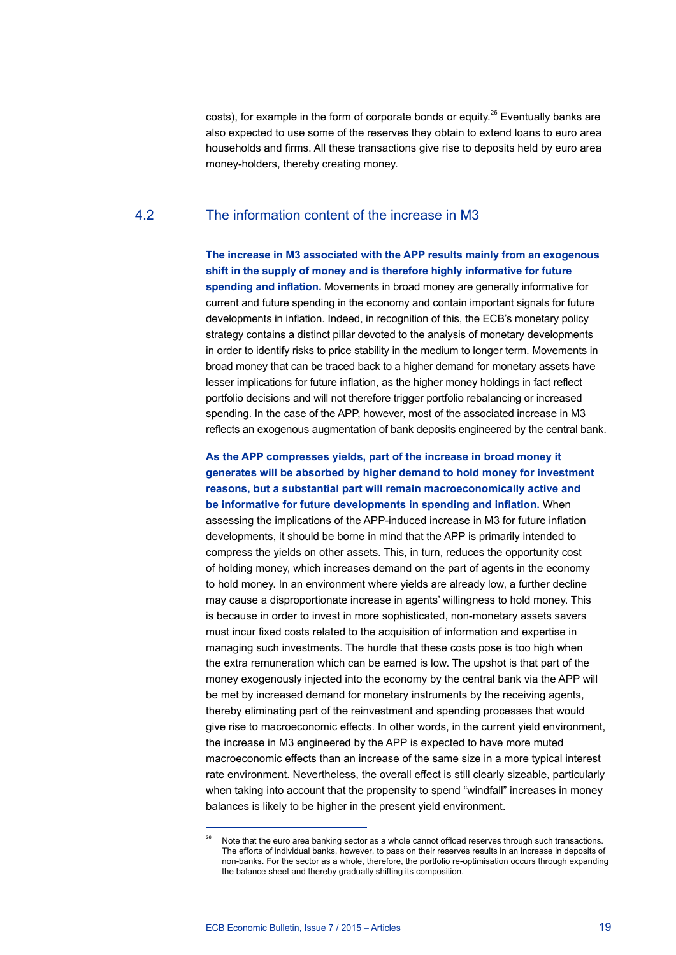costs), for example in the form of corporate bonds or equity.<sup>26</sup> Eventually banks are also expected to use some of the reserves they obtain to extend loans to euro area households and firms. All these transactions give rise to deposits held by euro area money-holders, thereby creating money.

## 4.2 The information content of the increase in M3

**The increase in M3 associated with the APP results mainly from an exogenous shift in the supply of money and is therefore highly informative for future spending and inflation.** Movements in broad money are generally informative for current and future spending in the economy and contain important signals for future developments in inflation. Indeed, in recognition of this, the ECB's monetary policy strategy contains a distinct pillar devoted to the analysis of monetary developments in order to identify risks to price stability in the medium to longer term. Movements in broad money that can be traced back to a higher demand for monetary assets have lesser implications for future inflation, as the higher money holdings in fact reflect portfolio decisions and will not therefore trigger portfolio rebalancing or increased spending. In the case of the APP, however, most of the associated increase in M3 reflects an exogenous augmentation of bank deposits engineered by the central bank.

**As the APP compresses yields, part of the increase in broad money it generates will be absorbed by higher demand to hold money for investment reasons, but a substantial part will remain macroeconomically active and be informative for future developments in spending and inflation.** When assessing the implications of the APP-induced increase in M3 for future inflation developments, it should be borne in mind that the APP is primarily intended to compress the yields on other assets. This, in turn, reduces the opportunity cost of holding money, which increases demand on the part of agents in the economy to hold money. In an environment where yields are already low, a further decline may cause a disproportionate increase in agents' willingness to hold money. This is because in order to invest in more sophisticated, non-monetary assets savers must incur fixed costs related to the acquisition of information and expertise in managing such investments. The hurdle that these costs pose is too high when the extra remuneration which can be earned is low. The upshot is that part of the money exogenously injected into the economy by the central bank via the APP will be met by increased demand for monetary instruments by the receiving agents, thereby eliminating part of the reinvestment and spending processes that would give rise to macroeconomic effects. In other words, in the current yield environment, the increase in M3 engineered by the APP is expected to have more muted macroeconomic effects than an increase of the same size in a more typical interest rate environment. Nevertheless, the overall effect is still clearly sizeable, particularly when taking into account that the propensity to spend "windfall" increases in money balances is likely to be higher in the present yield environment.

Note that the euro area banking sector as a whole cannot offload reserves through such transactions. The efforts of individual banks, however, to pass on their reserves results in an increase in deposits of non-banks. For the sector as a whole, therefore, the portfolio re-optimisation occurs through expanding the balance sheet and thereby gradually shifting its composition.